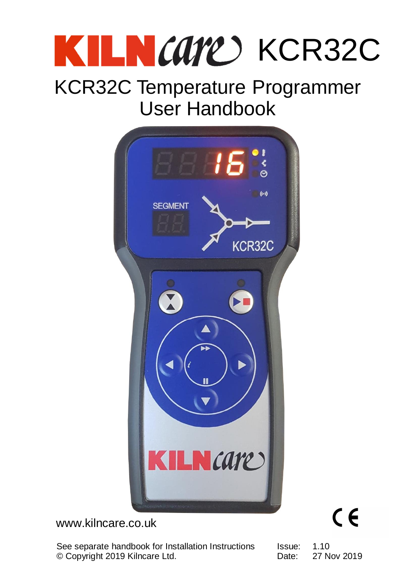# KILN CATE KCR32C

### KCR32C Temperature Programmer User Handbook



#### www.kilncare.co.uk

© Copyright 2019 Kilncare Ltd. **Example 2019** Copyright 2019 Kilncare Ltd. See separate handbook for Installation Instructions

Issue: 1.10 Date: 27 Nov 2019

 $C \in$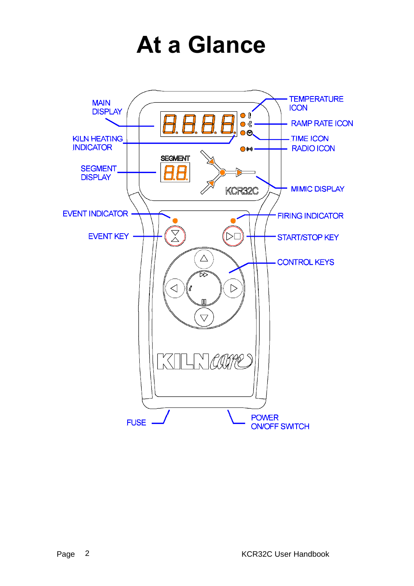### **At a Glance**

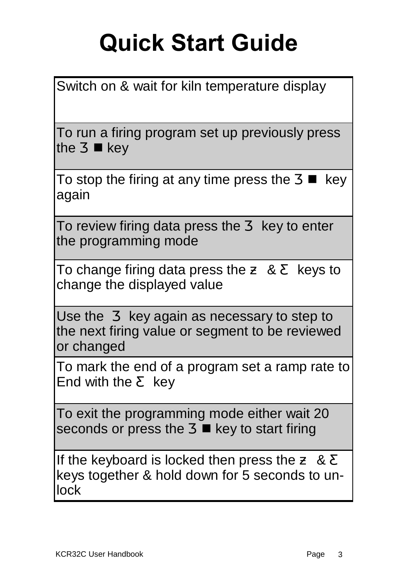# **Quick Start Guide**

| Switch on & wait for kiln temperature display                                                                        |  |  |  |  |  |  |  |
|----------------------------------------------------------------------------------------------------------------------|--|--|--|--|--|--|--|
| To run a firing program set up previously press<br>$\blacksquare$ key<br>the                                         |  |  |  |  |  |  |  |
| To stop the firing at any time press the<br>key<br>again                                                             |  |  |  |  |  |  |  |
| To review firing data press the<br>key to enter<br>the programming mode                                              |  |  |  |  |  |  |  |
| To change firing data press the<br>8 <sub>1</sub><br>keys to<br>change the displayed value                           |  |  |  |  |  |  |  |
| Use the key again as necessary to step to<br>the next firing value or segment to be reviewed<br>or changed           |  |  |  |  |  |  |  |
| To mark the end of a program set a ramp rate to<br>End with the<br>key                                               |  |  |  |  |  |  |  |
| To exit the programming mode either wait 20<br>seconds or press the ■ key to start firing                            |  |  |  |  |  |  |  |
| If the keyboard is locked then press the<br>8 <sup>2</sup><br>keys together & hold down for 5 seconds to un-<br>lock |  |  |  |  |  |  |  |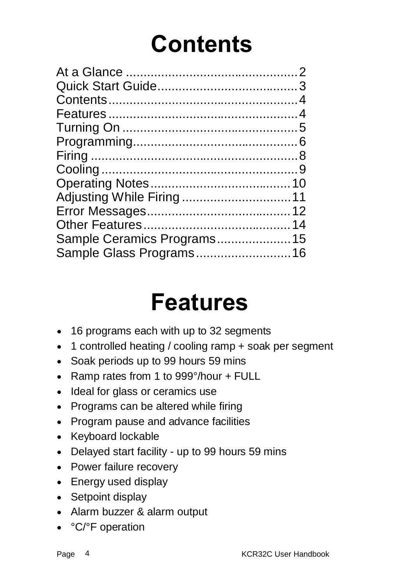### **Contents**

| Sample Ceramics Programs15 |  |
|----------------------------|--|
| Sample Glass Programs 16   |  |
|                            |  |

### **Features**

- · 16 programs each with up to 32 segments
- · 1 controlled heating / cooling ramp + soak per segment
- · Soak periods up to 99 hours 59 mins
- · Ramp rates from 1 to 999°/hour + FULL
- · Ideal for glass or ceramics use
- · Programs can be altered while firing
- · Program pause and advance facilities
- · Keyboard lockable
- · Delayed start facility up to 99 hours 59 mins
- · Power failure recovery
- · Energy used display
- Setpoint display
- · Alarm buzzer & alarm output
- °C/°F operation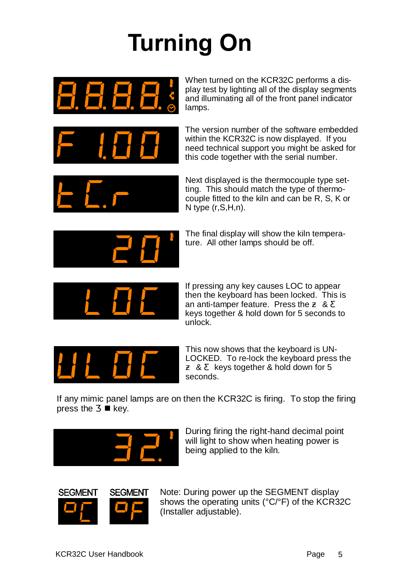# **Turning On**



When turned on the KCR32C performs a display test by lighting all of the display segments and illuminating all of the front panel indicator lamps.



The version number of the software embedded within the KCR32C is now displayed. If you need technical support you might be asked for this code together with the serial number.



Next displayed is the thermocouple type setting. This should match the type of thermocouple fitted to the kiln and can be R, S, K or N type (r,S,H,n).



The final display will show the kiln temperature. All other lamps should be off.



If pressing any key causes LOC to appear then the keyboard has been locked. This is an anti-tamper feature. Press the & keys together & hold down for 5 seconds to unlock.



This now shows that the keyboard is UN-LOCKED. To re-lock the keyboard press the & keys together & hold down for 5 seconds.

If any mimic panel lamps are on then the KCR32C is firing. To stop the firing press the  $\blacksquare$  key.



During firing the right-hand decimal point will light to show when heating power is being applied to the kiln.



Note: During power up the SEGMENT display shows the operating units (°C/°F) of the KCR32C (Installer adjustable).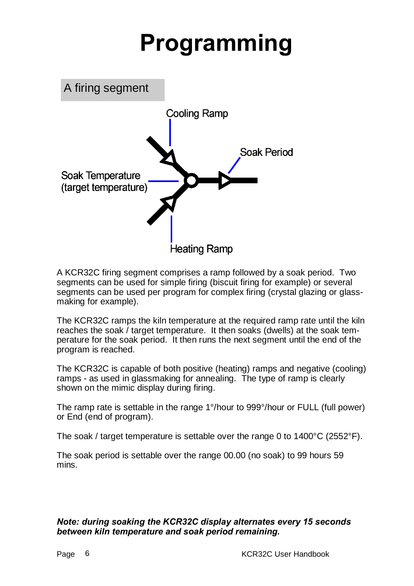### **Programming**



A KCR32C firing segment comprises a ramp followed by a soak period. Two segments can be used for simple firing (biscuit firing for example) or several segments can be used per program for complex firing (crystal glazing or glassmaking for example).

The KCR32C ramps the kiln temperature at the required ramp rate until the kiln reaches the soak / target temperature. It then soaks (dwells) at the soak temperature for the soak period. It then runs the next segment until the end of the program is reached.

The KCR32C is capable of both positive (heating) ramps and negative (cooling) ramps - as used in glassmaking for annealing. The type of ramp is clearly shown on the mimic display during firing.

The ramp rate is settable in the range 1°/hour to 999°/hour or FULL (full power) or End (end of program).

The soak / target temperature is settable over the range 0 to 1400°C (2552°F).

The soak period is settable over the range 00.00 (no soak) to 99 hours 59 mins.

#### *Note: during soaking the KCR32C display alternates every 15 seconds between kiln temperature and soak period remaining.*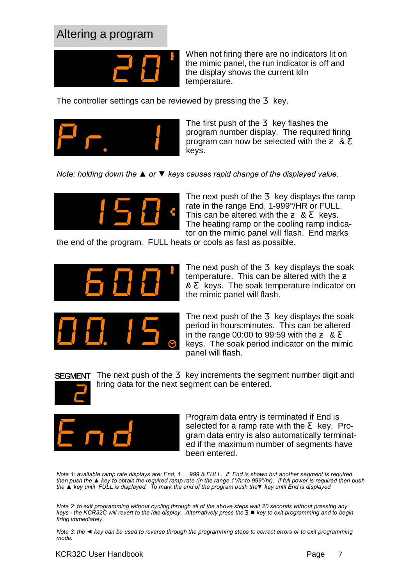#### Altering a program



When not firing there are no indicators lit on the mimic panel, the run indicator is off and the display shows the current kiln temperature.

The controller settings can be reviewed by pressing the key.



The first push of the key flashes the program number display. The required firing program can now be selected with the & keys.

*Note: holding down the ▲ or ▼ keys causes rapid change of the displayed value.*



The next push of the key displays the ramp rate in the range End, 1-999°/HR or FULL. This can be altered with the & keys. The heating ramp or the cooling ramp indicator on the mimic panel will flash. End marks

the end of the program. FULL heats or cools as fast as possible.



The next push of the key displays the soak temperature. This can be altered with the & keys. The soak temperature indicator on the mimic panel will flash.



The next push of the key displays the soak period in hours:minutes. This can be altered in the range 00:00 to 99:59 with the & keys. The soak period indicator on the mimic panel will flash.



**SEGMENT** The next push of the key increments the segment number digit and firing data for the next segment can be entered.



Program data entry is terminated if End is selected for a ramp rate with the key. Program data entry is also automatically terminated if the maximum number of segments have been entered.

*Note 1: available ramp rate displays are: End, 1 ... 999 & FULL. If End is shown but another segment is required then push the ▲ key to obtain the required ramp rate (in the range 1°/hr to 999°/hr). If full power is required then push the ▲ key until FULL is displayed. To mark the end of the program push the▼ key until End is displayed*

*Note 2: to exit programming without cycling through all of the above steps wait 20 seconds without pressing any keys - the KCR32C will revert to the idle display. Alternatively press the* n *key to exit programming and to begin firing immediately.*

*Note 3: the ◄ key can be used to reverse through the programming steps to correct errors or to exit programming mode.*

#### KCR32C User Handbook **Page 7**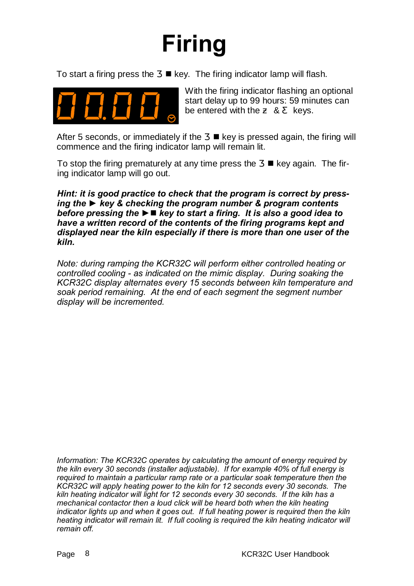### **Firing**

To start a firing press the  $\blacksquare$  key. The firing indicator lamp will flash.



With the firing indicator flashing an optional start delay up to 99 hours: 59 minutes can be entered with the & keys.

After 5 seconds, or immediately if the  $\blacksquare$  key is pressed again, the firing will commence and the firing indicator lamp will remain lit.

To stop the firing prematurely at any time press the  $\blacksquare$  key again. The firing indicator lamp will go out.

*Hint: it is good practice to check that the program is correct by pressing the ► key & checking the program number & program contents before pressing the* **►**n *key to start a firing. It is also a good idea to have a written record of the contents of the firing programs kept and displayed near the kiln especially if there is more than one user of the kiln.*

*Note: during ramping the KCR32C will perform either controlled heating or controlled cooling - as indicated on the mimic display. During soaking the KCR32C display alternates every 15 seconds between kiln temperature and soak period remaining. At the end of each segment the segment number display will be incremented.*

*Information: The KCR32C operates by calculating the amount of energy required by the kiln every 30 seconds (installer adjustable). If for example 40% of full energy is required to maintain a particular ramp rate or a particular soak temperature then the KCR32C will apply heating power to the kiln for 12 seconds every 30 seconds. The kiln heating indicator will light for 12 seconds every 30 seconds. If the kiln has a mechanical contactor then a loud click will be heard both when the kiln heating indicator lights up and when it goes out. If full heating power is required then the kiln heating indicator will remain lit. If full cooling is required the kiln heating indicator will remain off.*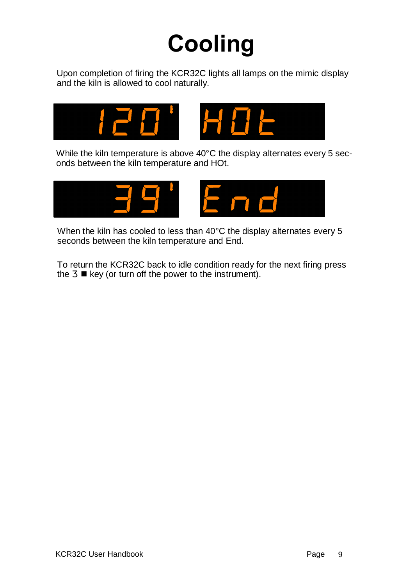### **Cooling**

Upon completion of firing the KCR32C lights all lamps on the mimic display and the kiln is allowed to cool naturally.



While the kiln temperature is above 40°C the display alternates every 5 seconds between the kiln temperature and HOt.



When the kiln has cooled to less than 40°C the display alternates every 5 seconds between the kiln temperature and End.

To return the KCR32C back to idle condition ready for the next firing press the  $\blacksquare$  key (or turn off the power to the instrument).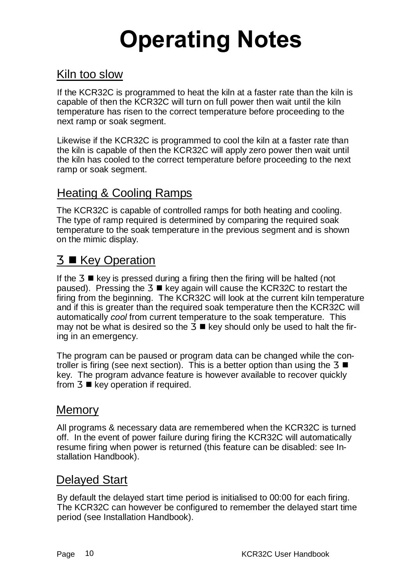# **Operating Notes**

#### Kiln too slow

If the KCR32C is programmed to heat the kiln at a faster rate than the kiln is capable of then the KCR32C will turn on full power then wait until the kiln temperature has risen to the correct temperature before proceeding to the next ramp or soak segment.

Likewise if the KCR32C is programmed to cool the kiln at a faster rate than the kiln is capable of then the KCR32C will apply zero power then wait until the kiln has cooled to the correct temperature before proceeding to the next ramp or soak segment.

#### Heating & Cooling Ramps

The KCR32C is capable of controlled ramps for both heating and cooling. The type of ramp required is determined by comparing the required soak temperature to the soak temperature in the previous segment and is shown on the mimic display.

#### ■ Key Operation

If the  $\blacksquare$  key is pressed during a firing then the firing will be halted (not paused). Pressing the  $\blacksquare$  key again will cause the KCR32C to restart the firing from the beginning. The KCR32C will look at the current kiln temperature and if this is greater than the required soak temperature then the KCR32C will automatically *cool* from current temperature to the soak temperature. This may not be what is desired so the  $\blacksquare$  key should only be used to halt the firing in an emergency.

The program can be paused or program data can be changed while the controller is firing (see next section). This is a better option than using the n key. The program advance feature is however available to recover quickly from  $\blacksquare$  key operation if required.

#### **Memory**

All programs & necessary data are remembered when the KCR32C is turned off. In the event of power failure during firing the KCR32C will automatically resume firing when power is returned (this feature can be disabled: see Installation Handbook).

#### Delayed Start

By default the delayed start time period is initialised to 00:00 for each firing. The KCR32C can however be configured to remember the delayed start time period (see Installation Handbook).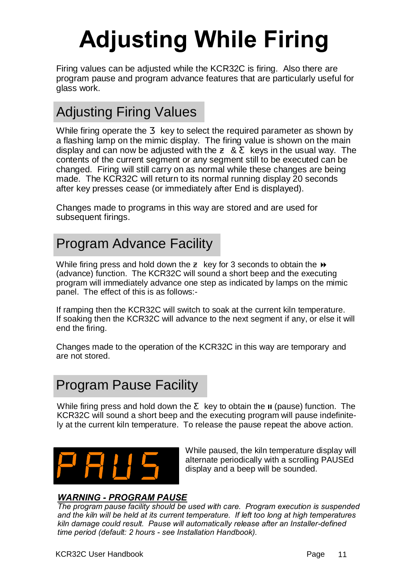# **Adjusting While Firing**

Firing values can be adjusted while the KCR32C is firing. Also there are program pause and program advance features that are particularly useful for glass work.

#### Adjusting Firing Values

While firing operate the key to select the required parameter as shown by a flashing lamp on the mimic display. The firing value is shown on the main display and can now be adjusted with the & keys in the usual way. The contents of the current segment or any segment still to be executed can be changed. Firing will still carry on as normal while these changes are being made. The KCR32C will return to its normal running display 20 seconds after key presses cease (or immediately after End is displayed).

Changes made to programs in this way are stored and are used for subsequent firings.

#### Program Advance Facility

While firing press and hold down the key for 3 seconds to obtain the  $\rightarrow$ (advance) function. The KCR32C will sound a short beep and the executing program will immediately advance one step as indicated by lamps on the mimic panel. The effect of this is as follows:-

If ramping then the KCR32C will switch to soak at the current kiln temperature. If soaking then the KCR32C will advance to the next segment if any, or else it will end the firing.

Changes made to the operation of the KCR32C in this way are temporary and are not stored.

#### Program Pause Facility

While firing press and hold down the key to obtain the **II** (pause) function. The KCR32C will sound a short beep and the executing program will pause indefinitely at the current kiln temperature. To release the pause repeat the above action.



While paused, the kiln temperature display will alternate periodically with a scrolling PAUSEd display and a beep will be sounded.

#### *WARNING - PROGRAM PAUSE*

*The program pause facility should be used with care. Program execution is suspended and the kiln will be held at its current temperature. If left too long at high temperatures kiln damage could result. Pause will automatically release after an Installer-defined time period (default: 2 hours - see Installation Handbook).*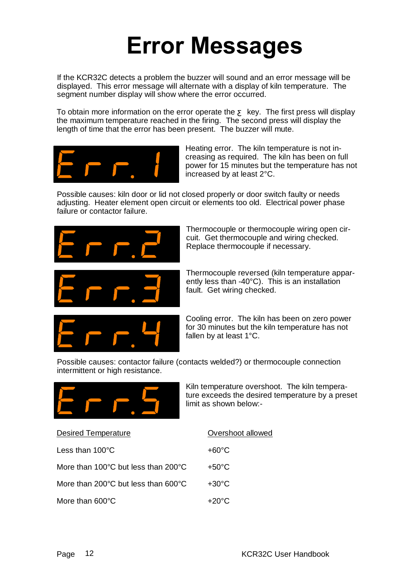### **Error Messages**

If the KCR32C detects a problem the buzzer will sound and an error message will be displayed. This error message will alternate with a display of kiln temperature. The segment number display will show where the error occurred.

To obtain more information on the error operate the key. The first press will display the maximum temperature reached in the firing. The second press will display the length of time that the error has been present. The buzzer will mute.



Heating error. The kiln temperature is not increasing as required. The kiln has been on full power for 15 minutes but the temperature has not increased by at least 2°C.

Possible causes: kiln door or lid not closed properly or door switch faulty or needs adjusting. Heater element open circuit or elements too old. Electrical power phase failure or contactor failure.



Thermocouple or thermocouple wiring open circuit. Get thermocouple and wiring checked. Replace thermocouple if necessary.



Thermocouple reversed (kiln temperature apparently less than -40°C). This is an installation fault. Get wiring checked.



Cooling error. The kiln has been on zero power for 30 minutes but the kiln temperature has not fallen by at least 1°C.

Possible causes: contactor failure (contacts welded?) or thermocouple connection intermittent or high resistance.



Kiln temperature overshoot. The kiln temperature exceeds the desired temperature by a preset limit as shown below:-

| <b>Desired Temperature</b>                                | Overshoot allowed |  |  |  |
|-----------------------------------------------------------|-------------------|--|--|--|
| Less than $100^{\circ}$ C                                 | $+60^{\circ}$ C   |  |  |  |
| More than 100 $^{\circ}$ C but less than 200 $^{\circ}$ C | $+50^{\circ}$ C   |  |  |  |
| More than 200 $\degree$ C but less than 600 $\degree$ C   | $+30^{\circ}$ C   |  |  |  |
| More than 600°C                                           | $+20^{\circ}$ C   |  |  |  |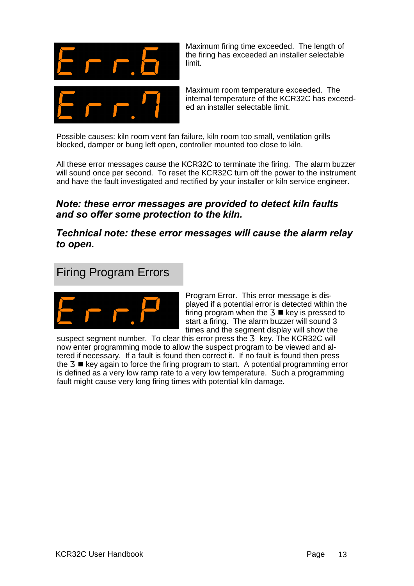

Maximum firing time exceeded. The length of the firing has exceeded an installer selectable limit.

Maximum room temperature exceeded. The internal temperature of the KCR32C has exceeded an installer selectable limit.

Possible causes: kiln room vent fan failure, kiln room too small, ventilation grills blocked, damper or bung left open, controller mounted too close to kiln.

All these error messages cause the KCR32C to terminate the firing. The alarm buzzer will sound once per second. To reset the KCR32C turn off the power to the instrument and have the fault investigated and rectified by your installer or kiln service engineer.

#### *Note: these error messages are provided to detect kiln faults and so offer some protection to the kiln.*

*Technical note: these error messages will cause the alarm relay to open.* 

#### Firing Program Errors



Program Error. This error message is displayed if a potential error is detected within the firing program when the  $\blacksquare$  key is pressed to start a firing. The alarm buzzer will sound 3 times and the segment display will show the<br>his error press the key. The KCR32C will

suspect segment number. To clear this error press the now enter programming mode to allow the suspect program to be viewed and altered if necessary. If a fault is found then correct it. If no fault is found then press the  $\blacksquare$  key again to force the firing program to start. A potential programming error is defined as a very low ramp rate to a very low temperature. Such a programming fault might cause very long firing times with potential kiln damage.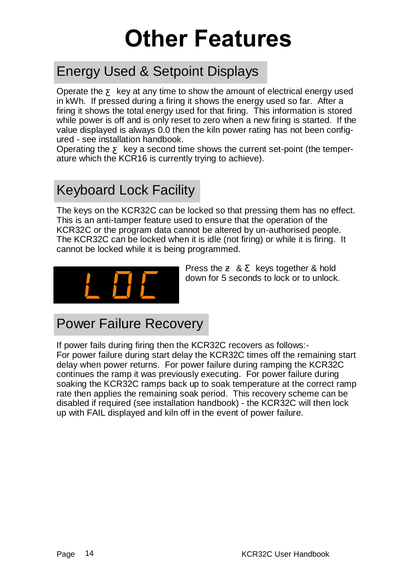### **Other Features**

#### Energy Used & Setpoint Displays

Operate the key at any time to show the amount of electrical energy used in kWh. If pressed during a firing it shows the energy used so far. After a firing it shows the total energy used for that firing. This information is stored while power is off and is only reset to zero when a new firing is started. If the value displayed is always 0.0 then the kiln power rating has not been configured - see installation handbook.

Operating the key a second time shows the current set-point (the temperature which the KCR16 is currently trying to achieve).

#### Keyboard Lock Facility

The keys on the KCR32C can be locked so that pressing them has no effect. This is an anti-tamper feature used to ensure that the operation of the KCR32C or the program data cannot be altered by un-authorised people. The KCR32C can be locked when it is idle (not firing) or while it is firing. It cannot be locked while it is being programmed.



Press the & keys together & hold down for 5 seconds to lock or to unlock.

#### Power Failure Recovery

If power fails during firing then the KCR32C recovers as follows:- For power failure during start delay the KCR32C times off the remaining start delay when power returns. For power failure during ramping the KCR32C continues the ramp it was previously executing. For power failure during soaking the KCR32C ramps back up to soak temperature at the correct ramp rate then applies the remaining soak period. This recovery scheme can be disabled if required (see installation handbook) - the KCR32C will then lock up with FAIL displayed and kiln off in the event of power failure.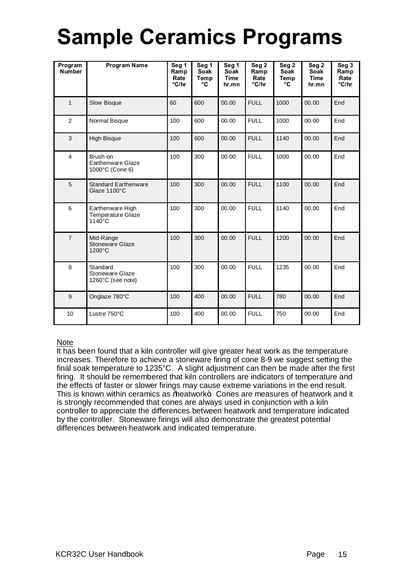### **Sample Ceramics Programs**

| Program<br><b>Number</b> | <b>Program Name</b>                                    | Seg 1<br>Ramp<br>Rate<br>°C/hr | Seg 1<br><b>Soak</b><br>Temp<br>°C | Seg 1<br>Soak<br><b>Time</b><br>hr.mn | Seg <sub>2</sub><br>Ramp<br>Rate<br>°C/hr | Seg 2<br><b>Soak</b><br>Temp<br>°C | Seg <sub>2</sub><br><b>Soak</b><br><b>Time</b><br>hr.mn | Seg 3<br>Ramp<br>Rate<br>°C/hr |
|--------------------------|--------------------------------------------------------|--------------------------------|------------------------------------|---------------------------------------|-------------------------------------------|------------------------------------|---------------------------------------------------------|--------------------------------|
| $\mathbf{1}$             | Slow Bisque                                            | 60                             | 600                                | 00.00                                 | <b>FULL</b>                               | 1000                               | 00.00                                                   | End                            |
| $\overline{c}$           | Normal Bisque                                          | 100                            | 600                                | 00.00                                 | <b>FULL</b>                               | 1000                               | 00.00                                                   | End                            |
| 3                        | <b>High Bisque</b>                                     | 100                            | 600                                | 00.00                                 | <b>FULL</b>                               | 1140                               | 00.00                                                   | End                            |
| $\overline{4}$           | Brush-on<br>Earthenware Glaze<br>1000°C (Cone 6)       | 100                            | 300                                | 00.00                                 | <b>FULL</b>                               | 1000                               | 00.00                                                   | End                            |
| 5                        | <b>Standard Earthenware</b><br>Glaze 1100°C            | 100                            | 300                                | 00.00                                 | <b>FULL</b>                               | 1100                               | 00.00                                                   | End                            |
| 6                        | Earthenware High<br><b>Temperature Glaze</b><br>1140°C | 100                            | 300                                | 00.00                                 | <b>FULL</b>                               | 1140                               | 00.00                                                   | End                            |
| $\overline{7}$           | Mid-Range<br>Stoneware Glaze<br>1200°C                 | 100                            | 300                                | 00.00                                 | <b>FULL</b>                               | 1200                               | 00.00                                                   | End                            |
| 8                        | Standard<br>Stoneware Glaze<br>1260°C (see note)       | 100                            | 300                                | 00.00                                 | <b>FULL</b>                               | 1235                               | 00.00                                                   | End                            |
| 9                        | Onglaze 780°C                                          | 100                            | 400                                | 00.00                                 | <b>FULL</b>                               | 780                                | 00.00                                                   | End                            |
| 10                       | Lustre 750°C                                           | 100                            | 400                                | 00.00                                 | <b>FULL</b>                               | 750                                | 00.00                                                   | End                            |

#### Note

It has been found that a kiln controller will give greater heat work as the temperature increases. Therefore to achieve a stoneware firing of cone 8-9 we suggest setting the final soak temperature to 1235°C. A slight adjustment can then be made after the first firing. It should be remembered that kiln controllers are indicators of temperature and the effects of faster or slower firings may cause extreme variations in the end result. This is known within ceramics as beatwork. Cones are measures of heatwork and it is strongly recommended that cones are always used in conjunction with a kiln controller to appreciate the differences between heatwork and temperature indicated by the controller. Stoneware firings will also demonstrate the greatest potential differences between heatwork and indicated temperature.